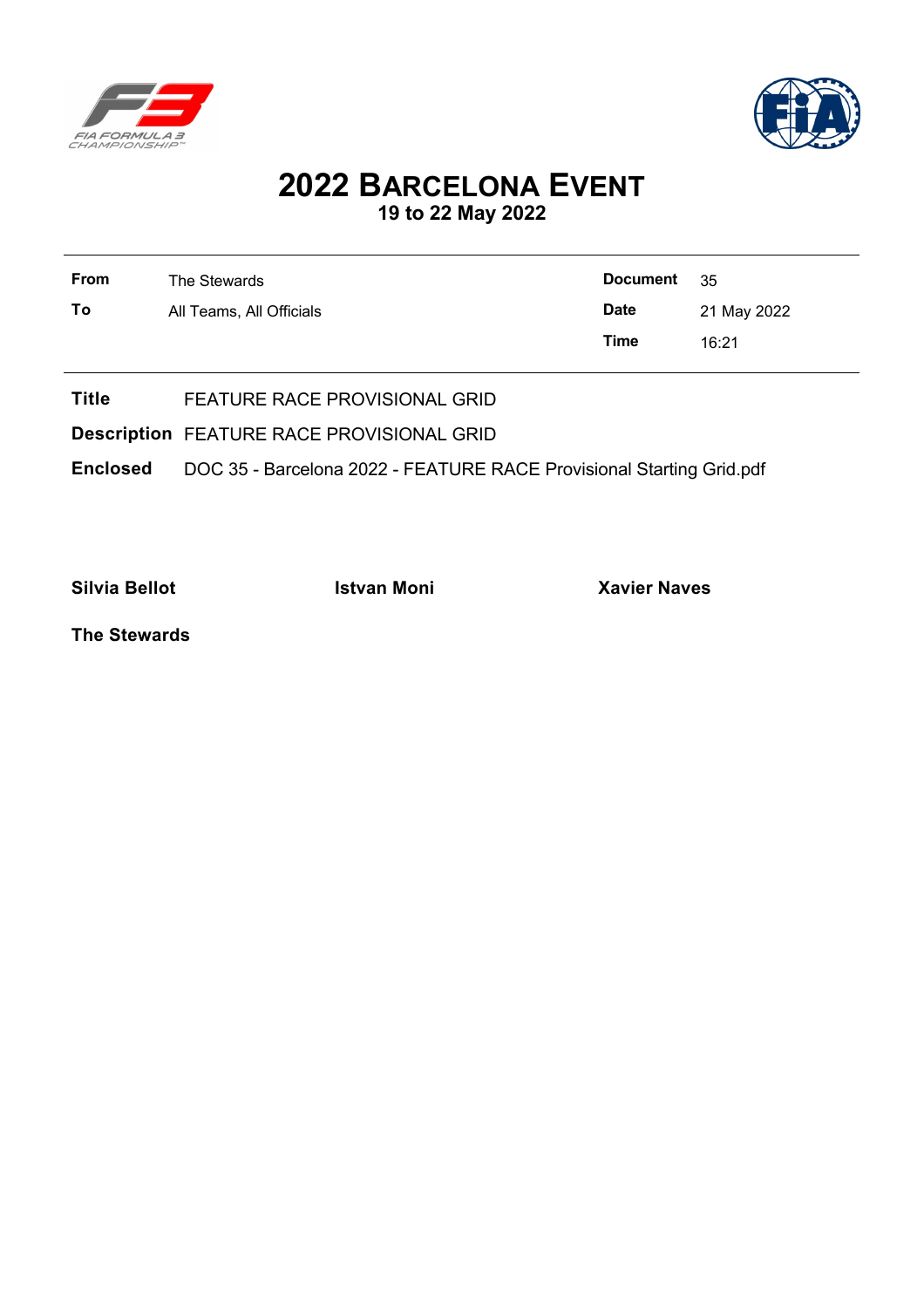



## **2022 BARCELONA EVENT 19 to 22 May 2022**

| From | The Stewards             | <b>Document</b> | - 35        |
|------|--------------------------|-----------------|-------------|
| To   | All Teams, All Officials | <b>Date</b>     | 21 May 2022 |
|      |                          | Time            | 16:21       |
|      |                          |                 |             |

**Title** FEATURE RACE PROVISIONAL GRID

**Description** FEATURE RACE PROVISIONAL GRID

**Enclosed** DOC 35 - Barcelona 2022 - FEATURE RACE Provisional Starting Grid.pdf

**Silvia Bellot Istvan Moni Xavier Naves**

**The Stewards**